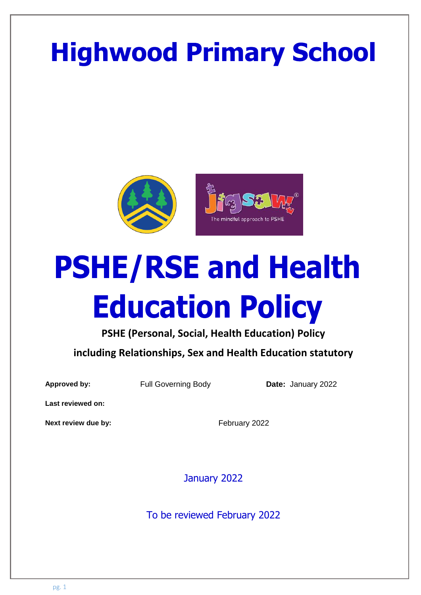## **Highwood Primary School**



# **PSHE/RSE and Health Education Policy**

**PSHE (Personal, Social, Health Education) Policy**

**including Relationships, Sex and Health Education statutory** 

**Approved by:** Full Governing Body **Date:** January 2022

**Last reviewed on:**

**Next review due by:** February 2022

January 2022

To be reviewed February 2022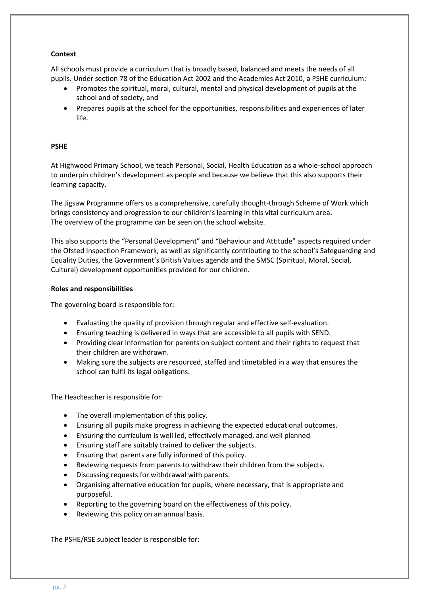## **Context**

All schools must provide a curriculum that is broadly based, balanced and meets the needs of all pupils. Under section 78 of the Education Act 2002 and the Academies Act 2010, a PSHE curriculum:

- Promotes the spiritual, moral, cultural, mental and physical development of pupils at the school and of society, and
- Prepares pupils at the school for the opportunities, responsibilities and experiences of later life.

## **PSHE**

At Highwood Primary School, we teach Personal, Social, Health Education as a whole-school approach to underpin children's development as people and because we believe that this also supports their learning capacity.

The Jigsaw Programme offers us a comprehensive, carefully thought-through Scheme of Work which brings consistency and progression to our children's learning in this vital curriculum area. The overview of the programme can be seen on the school website.

This also supports the "Personal Development" and "Behaviour and Attitude" aspects required under the Ofsted Inspection Framework, as well as significantly contributing to the school's Safeguarding and Equality Duties, the Government's British Values agenda and the SMSC (Spiritual, Moral, Social, Cultural) development opportunities provided for our children.

## **Roles and responsibilities**

The governing board is responsible for:

- Evaluating the quality of provision through regular and effective self-evaluation.
- Ensuring teaching is delivered in ways that are accessible to all pupils with SEND.
- Providing clear information for parents on subject content and their rights to request that their children are withdrawn.
- Making sure the subjects are resourced, staffed and timetabled in a way that ensures the school can fulfil its legal obligations.

The Headteacher is responsible for:

- The overall implementation of this policy.
- Ensuring all pupils make progress in achieving the expected educational outcomes.
- Ensuring the curriculum is well led, effectively managed, and well planned
- Ensuring staff are suitably trained to deliver the subjects.
- Ensuring that parents are fully informed of this policy.
- Reviewing requests from parents to withdraw their children from the subjects.
- Discussing requests for withdrawal with parents.
- Organising alternative education for pupils, where necessary, that is appropriate and purposeful.
- Reporting to the governing board on the effectiveness of this policy.
- Reviewing this policy on an annual basis.

The PSHE/RSE subject leader is responsible for: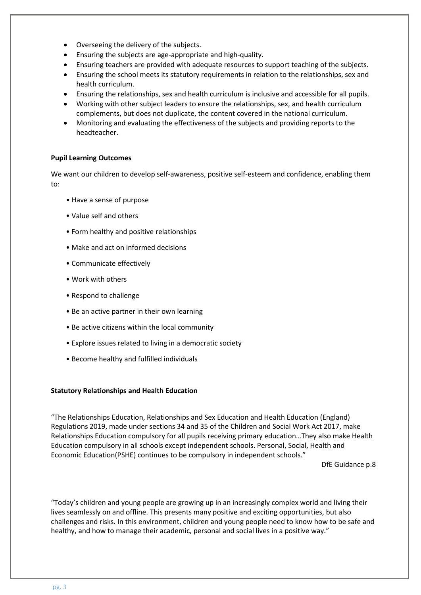- Overseeing the delivery of the subjects.
- Ensuring the subjects are age-appropriate and high-quality.
- Ensuring teachers are provided with adequate resources to support teaching of the subjects.
- Ensuring the school meets its statutory requirements in relation to the relationships, sex and health curriculum.
- Ensuring the relationships, sex and health curriculum is inclusive and accessible for all pupils.
- Working with other subject leaders to ensure the relationships, sex, and health curriculum complements, but does not duplicate, the content covered in the national curriculum.
- Monitoring and evaluating the effectiveness of the subjects and providing reports to the headteacher.

## **Pupil Learning Outcomes**

We want our children to develop self-awareness, positive self-esteem and confidence, enabling them to:

- Have a sense of purpose
- Value self and others
- Form healthy and positive relationships
- Make and act on informed decisions
- Communicate effectively
- Work with others
- Respond to challenge
- Be an active partner in their own learning
- Be active citizens within the local community
- Explore issues related to living in a democratic society
- Become healthy and fulfilled individuals

## **Statutory Relationships and Health Education**

"The Relationships Education, Relationships and Sex Education and Health Education (England) Regulations 2019, made under sections 34 and 35 of the Children and Social Work Act 2017, make Relationships Education compulsory for all pupils receiving primary education…They also make Health Education compulsory in all schools except independent schools. Personal, Social, Health and Economic Education(PSHE) continues to be compulsory in independent schools."

DfE Guidance p.8

"Today's children and young people are growing up in an increasingly complex world and living their lives seamlessly on and offline. This presents many positive and exciting opportunities, but also challenges and risks. In this environment, children and young people need to know how to be safe and healthy, and how to manage their academic, personal and social lives in a positive way."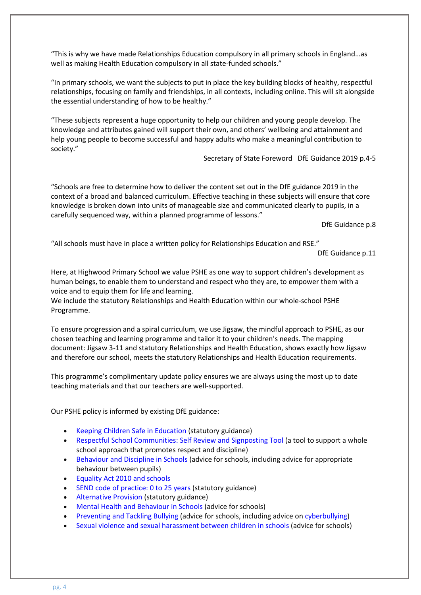"This is why we have made Relationships Education compulsory in all primary schools in England…as well as making Health Education compulsory in all state-funded schools."

"In primary schools, we want the subjects to put in place the key building blocks of healthy, respectful relationships, focusing on family and friendships, in all contexts, including online. This will sit alongside the essential understanding of how to be healthy."

"These subjects represent a huge opportunity to help our children and young people develop. The knowledge and attributes gained will support their own, and others' wellbeing and attainment and help young people to become successful and happy adults who make a meaningful contribution to society."

Secretary of State Foreword DfE Guidance 2019 p.4-5

"Schools are free to determine how to deliver the content set out in the DfE guidance 2019 in the context of a broad and balanced curriculum. Effective teaching in these subjects will ensure that core knowledge is broken down into units of manageable size and communicated clearly to pupils, in a carefully sequenced way, within a planned programme of lessons."

DfE Guidance p.8

"All schools must have in place a written policy for Relationships Education and RSE."

DfE Guidance p.11

Here, at Highwood Primary School we value PSHE as one way to support children's development as human beings, to enable them to understand and respect who they are, to empower them with a voice and to equip them for life and learning.

We include the statutory Relationships and Health Education within our whole-school PSHE Programme.

To ensure progression and a spiral curriculum, we use Jigsaw, the mindful approach to PSHE, as our chosen teaching and learning programme and tailor it to your children's needs. The mapping document: Jigsaw 3-11 and statutory Relationships and Health Education, shows exactly how Jigsaw and therefore our school, meets the statutory Relationships and Health Education requirements.

This programme's complimentary update policy ensures we are always using the most up to date teaching materials and that our teachers are well-supported.

Our PSHE policy is informed by existing DfE guidance:

- Keeping Children Safe in Education (statutory guidance)
- Respectful School Communities: Self Review and Signposting Tool (a tool to support a whole school approach that promotes respect and discipline)
- Behaviour and Discipline in Schools (advice for schools, including advice for appropriate behaviour between pupils)
- Equality Act 2010 and schools
- SEND code of practice: 0 to 25 years (statutory guidance)
- Alternative Provision (statutory guidance)
- Mental Health and Behaviour in Schools (advice for schools)
- Preventing and Tackling Bullying (advice for schools, including advice on cyberbullying)
- Sexual violence and sexual harassment between children in schools (advice for schools)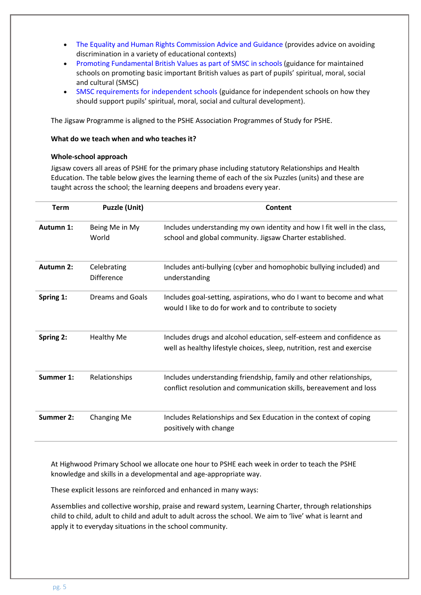- The Equality and Human Rights Commission Advice and Guidance (provides advice on avoiding discrimination in a variety of educational contexts)
- Promoting Fundamental British Values as part of SMSC in schools (guidance for maintained schools on promoting basic important British values as part of pupils' spiritual, moral, social and cultural (SMSC)
- SMSC requirements for independent schools (guidance for independent schools on how they should support pupils' spiritual, moral, social and cultural development).

The Jigsaw Programme is aligned to the PSHE Association Programmes of Study for PSHE.

## **What do we teach when and who teaches it?**

## **Whole-school approach**

Jigsaw covers all areas of PSHE for the primary phase including statutory Relationships and Health Education. The table below gives the learning theme of each of the six Puzzles (units) and these are taught across the school; the learning deepens and broadens every year.

| <b>Term</b>      | <b>Puzzle (Unit)</b>      | Content                                                                                                                                       |
|------------------|---------------------------|-----------------------------------------------------------------------------------------------------------------------------------------------|
| Autumn 1:        | Being Me in My<br>World   | Includes understanding my own identity and how I fit well in the class,<br>school and global community. Jigsaw Charter established.           |
| <b>Autumn 2:</b> | Celebrating<br>Difference | Includes anti-bullying (cyber and homophobic bullying included) and<br>understanding                                                          |
| Spring 1:        | Dreams and Goals          | Includes goal-setting, aspirations, who do I want to become and what<br>would I like to do for work and to contribute to society              |
| Spring 2:        | <b>Healthy Me</b>         | Includes drugs and alcohol education, self-esteem and confidence as<br>well as healthy lifestyle choices, sleep, nutrition, rest and exercise |
| Summer 1:        | Relationships             | Includes understanding friendship, family and other relationships,<br>conflict resolution and communication skills, bereavement and loss      |
| <b>Summer 2:</b> | Changing Me               | Includes Relationships and Sex Education in the context of coping<br>positively with change                                                   |

At Highwood Primary School we allocate one hour to PSHE each week in order to teach the PSHE knowledge and skills in a developmental and age-appropriate way.

These explicit lessons are reinforced and enhanced in many ways:

Assemblies and collective worship, praise and reward system, Learning Charter, through relationships child to child, adult to child and adult to adult across the school. We aim to 'live' what is learnt and apply it to everyday situations in the school community.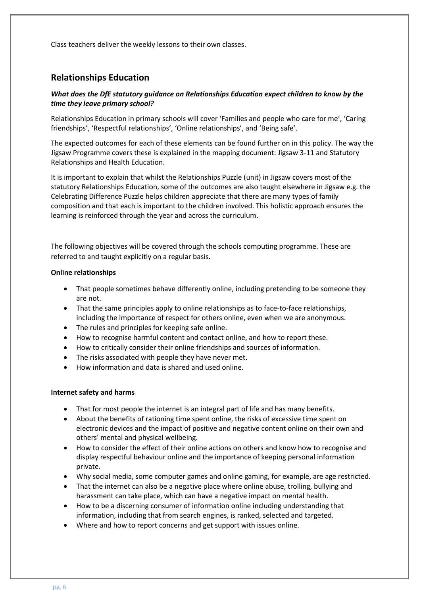Class teachers deliver the weekly lessons to their own classes.

## **Relationships Education**

## *What does the DfE statutory guidance on Relationships Education expect children to know by the time they leave primary school?*

Relationships Education in primary schools will cover 'Families and people who care for me', 'Caring friendships', 'Respectful relationships', 'Online relationships', and 'Being safe'.

The expected outcomes for each of these elements can be found further on in this policy. The way the Jigsaw Programme covers these is explained in the mapping document: Jigsaw 3-11 and Statutory Relationships and Health Education.

It is important to explain that whilst the Relationships Puzzle (unit) in Jigsaw covers most of the statutory Relationships Education, some of the outcomes are also taught elsewhere in Jigsaw e.g. the Celebrating Difference Puzzle helps children appreciate that there are many types of family composition and that each is important to the children involved. This holistic approach ensures the learning is reinforced through the year and across the curriculum.

The following objectives will be covered through the schools computing programme. These are referred to and taught explicitly on a regular basis.

## **Online relationships**

- That people sometimes behave differently online, including pretending to be someone they are not.
- That the same principles apply to online relationships as to face-to-face relationships, including the importance of respect for others online, even when we are anonymous.
- The rules and principles for keeping safe online.
- How to recognise harmful content and contact online, and how to report these.
- How to critically consider their online friendships and sources of information.
- The risks associated with people they have never met.
- How information and data is shared and used online.

## **Internet safety and harms**

- That for most people the internet is an integral part of life and has many benefits.
- About the benefits of rationing time spent online, the risks of excessive time spent on electronic devices and the impact of positive and negative content online on their own and others' mental and physical wellbeing.
- How to consider the effect of their online actions on others and know how to recognise and display respectful behaviour online and the importance of keeping personal information private.
- Why social media, some computer games and online gaming, for example, are age restricted.
- That the internet can also be a negative place where online abuse, trolling, bullying and harassment can take place, which can have a negative impact on mental health.
- How to be a discerning consumer of information online including understanding that information, including that from search engines, is ranked, selected and targeted.
- Where and how to report concerns and get support with issues online.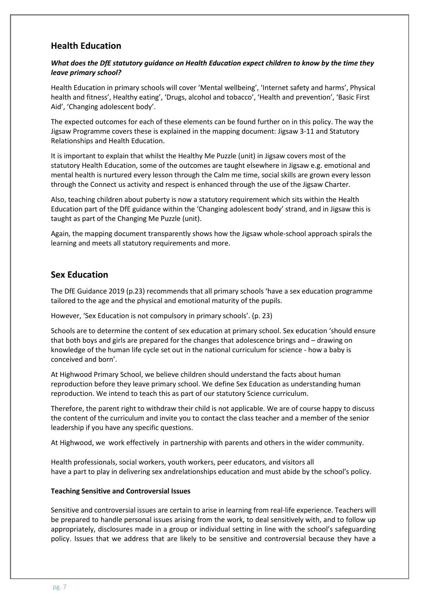## **Health Education**

## *What does the DfE statutory guidance on Health Education expect children to know by the time they leave primary school?*

Health Education in primary schools will cover 'Mental wellbeing', 'Internet safety and harms', Physical health and fitness', Healthy eating', 'Drugs, alcohol and tobacco', 'Health and prevention', 'Basic First Aid', 'Changing adolescent body'.

The expected outcomes for each of these elements can be found further on in this policy. The way the Jigsaw Programme covers these is explained in the mapping document: Jigsaw 3-11 and Statutory Relationships and Health Education.

It is important to explain that whilst the Healthy Me Puzzle (unit) in Jigsaw covers most of the statutory Health Education, some of the outcomes are taught elsewhere in Jigsaw e.g. emotional and mental health is nurtured every lesson through the Calm me time, social skills are grown every lesson through the Connect us activity and respect is enhanced through the use of the Jigsaw Charter.

Also, teaching children about puberty is now a statutory requirement which sits within the Health Education part of the DfE guidance within the 'Changing adolescent body' strand, and in Jigsaw this is taught as part of the Changing Me Puzzle (unit).

Again, the mapping document transparently shows how the Jigsaw whole-school approach spirals the learning and meets all statutory requirements and more.

## **Sex Education**

The DfE Guidance 2019 (p.23) recommends that all primary schools 'have a sex education programme tailored to the age and the physical and emotional maturity of the pupils.

However, 'Sex Education is not compulsory in primary schools'. (p. 23)

Schools are to determine the content of sex education at primary school. Sex education 'should ensure that both boys and girls are prepared for the changes that adolescence brings and – drawing on knowledge of the human life cycle set out in the national curriculum for science - how a baby is conceived and born'.

At Highwood Primary School, we believe children should understand the facts about human reproduction before they leave primary school. We define Sex Education as understanding human reproduction. We intend to teach this as part of our statutory Science curriculum.

Therefore, the parent right to withdraw their child is not applicable. We are of course happy to discuss the content of the curriculum and invite you to contact the class teacher and a member of the senior leadership if you have any specific questions.

At Highwood, we work effectively in partnership with parents and others in the wider community.

Health professionals, social workers, youth workers, peer educators, and visitors all have a part to play in delivering sex andrelationships education and must abide by the school's policy.

## **Teaching Sensitive and Controversial Issues**

Sensitive and controversial issues are certain to arise in learning from real-life experience. Teachers will be prepared to handle personal issues arising from the work, to deal sensitively with, and to follow up appropriately, disclosures made in a group or individual setting in line with the school's safeguarding policy. Issues that we address that are likely to be sensitive and controversial because they have a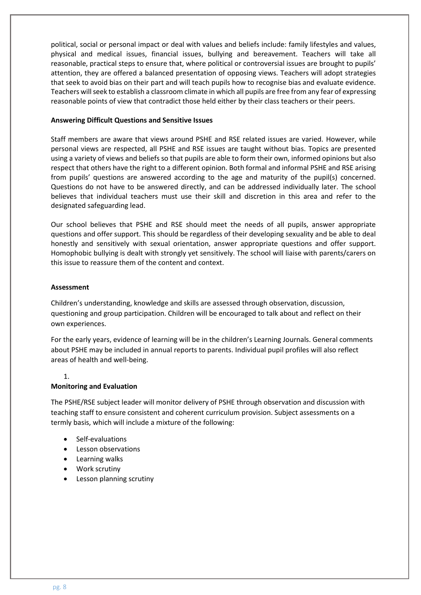political, social or personal impact or deal with values and beliefs include: family lifestyles and values, physical and medical issues, financial issues, bullying and bereavement. Teachers will take all reasonable, practical steps to ensure that, where political or controversial issues are brought to pupils' attention, they are offered a balanced presentation of opposing views. Teachers will adopt strategies that seek to avoid bias on their part and will teach pupils how to recognise bias and evaluate evidence. Teachers will seek to establish a classroom climate in which all pupils are free from any fear of expressing reasonable points of view that contradict those held either by their class teachers or their peers.

## **Answering Difficult Questions and Sensitive Issues**

Staff members are aware that views around PSHE and RSE related issues are varied. However, while personal views are respected, all PSHE and RSE issues are taught without bias. Topics are presented using a variety of views and beliefs so that pupils are able to form their own, informed opinions but also respect that others have the right to a different opinion. Both formal and informal PSHE and RSE arising from pupils' questions are answered according to the age and maturity of the pupil(s) concerned. Questions do not have to be answered directly, and can be addressed individually later. The school believes that individual teachers must use their skill and discretion in this area and refer to the designated safeguarding lead.

Our school believes that PSHE and RSE should meet the needs of all pupils, answer appropriate questions and offer support. This should be regardless of their developing sexuality and be able to deal honestly and sensitively with sexual orientation, answer appropriate questions and offer support. Homophobic bullying is dealt with strongly yet sensitively. The school will liaise with parents/carers on this issue to reassure them of the content and context.

## **Assessment**

Children's understanding, knowledge and skills are assessed through observation, discussion, questioning and group participation. Children will be encouraged to talk about and reflect on their own experiences.

For the early years, evidence of learning will be in the children's Learning Journals. General comments about PSHE may be included in annual reports to parents. Individual pupil profiles will also reflect areas of health and well-being.

#### 1.

## **Monitoring and Evaluation**

The PSHE/RSE subject leader will monitor delivery of PSHE through observation and discussion with teaching staff to ensure consistent and coherent curriculum provision. Subject assessments on a termly basis, which will include a mixture of the following:

- Self-evaluations
- Lesson observations
- **•** Learning walks
- Work scrutiny
- Lesson planning scrutiny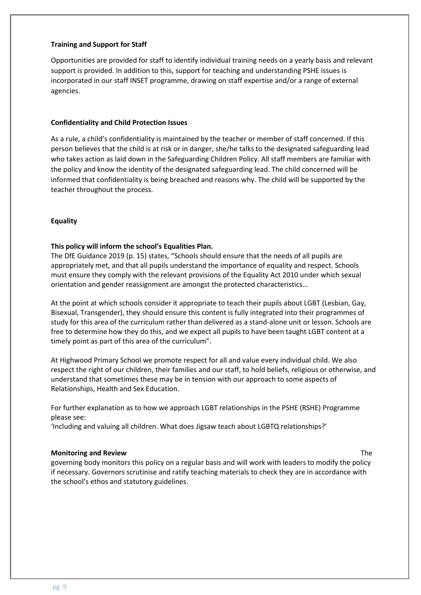## **Training and Support for Staff**

Opportunities are provided for staff to identify individual training needs on a yearly basis and relevant support is provided. In addition to this, support for teaching and understanding PSHE issues is incorporated in our staff INSET programme, drawing on staff expertise and/or a range of external agencies.

## **Confidentiality and Child Protection Issues**

As a rule, a child's confidentiality is maintained by the teacher or member of staff concerned. If this person believes that the child is at risk or in danger, she/he talks to the designated safeguarding lead who takes action as laid down in the Safeguarding Children Policy. All staff members are familiar with the policy and know the identity of the designated safeguarding lead. The child concerned will be informed that confidentiality is being breached and reasons why. The child will be supported by the teacher throughout the process.

## **Equality**

## **This policy will inform the school's Equalities Plan.**

The DfE Guidance 2019 (p. 15) states, "Schools should ensure that the needs of all pupils are appropriately met, and that all pupils understand the importance of equality and respect. Schools must ensure they comply with the relevant provisions of the Equality Act 2010 under which sexual orientation and gender reassignment are amongst the protected characteristics…

At the point at which schools consider it appropriate to teach their pupils about LGBT (Lesbian, Gay, Bisexual, Transgender), they should ensure this content is fully integrated into their programmes of study for this area of the curriculum rather than delivered as a stand-alone unit or lesson. Schools are free to determine how they do this, and we expect all pupils to have been taught LGBT content at a timely point as part of this area of the curriculum".

At Highwood Primary School we promote respect for all and value every individual child. We also respect the right of our children, their families and our staff, to hold beliefs, religious or otherwise, and understand that sometimes these may be in tension with our approach to some aspects of Relationships, Health and Sex Education.

For further explanation as to how we approach LGBT relationships in the PSHE (RSHE) Programme please see:

'Including and valuing all children. What does Jigsaw teach about LGBTQ relationships?'

#### **Monitoring and Review The Second Service Services and Service Services and The Service Services and The Service Services and The Services and The Services and The Services and The Services and The Services and The Service**

governing body monitors this policy on a regular basis and will work with leaders to modify the policy if necessary. Governors scrutinise and ratify teaching materials to check they are in accordance with the school's ethos and statutory guidelines.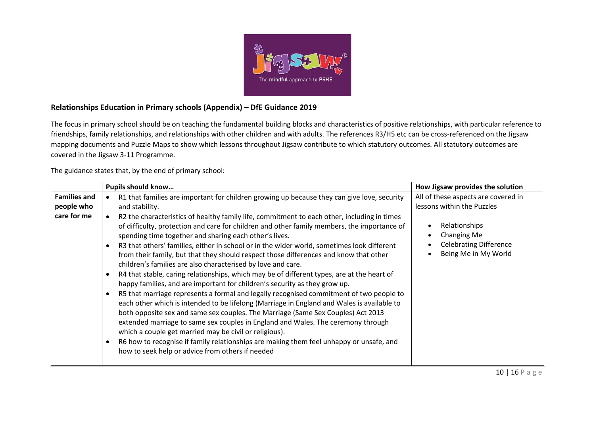

## **Relationships Education in Primary schools (Appendix) – DfE Guidance 2019**

The focus in primary school should be on teaching the fundamental building blocks and characteristics of positive relationships, with particular reference to friendships, family relationships, and relationships with other children and with adults. The references R3/H5 etc can be cross-referenced on the Jigsaw mapping documents and Puzzle Maps to show which lessons throughout Jigsaw contribute to which statutory outcomes. All statutory outcomes are covered in the Jigsaw 3-11 Programme.

The guidance states that, by the end of primary school: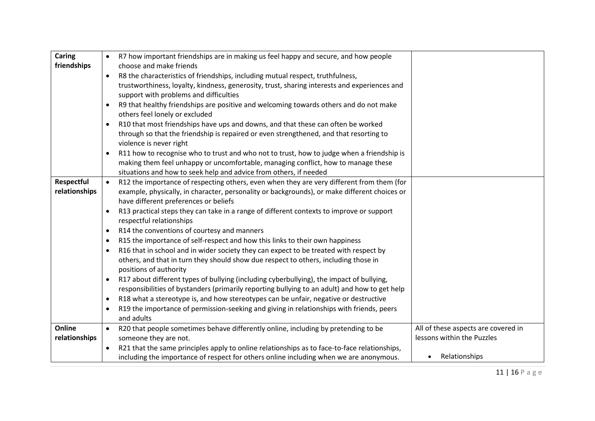| <b>Caring</b><br>friendships |           | R7 how important friendships are in making us feel happy and secure, and how people<br>choose and make friends    |                                     |
|------------------------------|-----------|-------------------------------------------------------------------------------------------------------------------|-------------------------------------|
|                              | $\bullet$ | R8 the characteristics of friendships, including mutual respect, truthfulness,                                    |                                     |
|                              |           | trustworthiness, loyalty, kindness, generosity, trust, sharing interests and experiences and                      |                                     |
|                              |           | support with problems and difficulties                                                                            |                                     |
|                              |           | R9 that healthy friendships are positive and welcoming towards others and do not make                             |                                     |
|                              |           | others feel lonely or excluded                                                                                    |                                     |
|                              | $\bullet$ | R10 that most friendships have ups and downs, and that these can often be worked                                  |                                     |
|                              |           | through so that the friendship is repaired or even strengthened, and that resorting to<br>violence is never right |                                     |
|                              |           | R11 how to recognise who to trust and who not to trust, how to judge when a friendship is                         |                                     |
|                              |           | making them feel unhappy or uncomfortable, managing conflict, how to manage these                                 |                                     |
|                              |           | situations and how to seek help and advice from others, if needed                                                 |                                     |
| Respectful                   | $\bullet$ | R12 the importance of respecting others, even when they are very different from them (for                         |                                     |
| relationships                |           | example, physically, in character, personality or backgrounds), or make different choices or                      |                                     |
|                              |           | have different preferences or beliefs                                                                             |                                     |
|                              |           | R13 practical steps they can take in a range of different contexts to improve or support                          |                                     |
|                              |           | respectful relationships                                                                                          |                                     |
|                              | $\bullet$ | R14 the conventions of courtesy and manners                                                                       |                                     |
|                              | $\bullet$ | R15 the importance of self-respect and how this links to their own happiness                                      |                                     |
|                              |           | R16 that in school and in wider society they can expect to be treated with respect by                             |                                     |
|                              |           | others, and that in turn they should show due respect to others, including those in<br>positions of authority     |                                     |
|                              | $\bullet$ | R17 about different types of bullying (including cyberbullying), the impact of bullying,                          |                                     |
|                              |           | responsibilities of bystanders (primarily reporting bullying to an adult) and how to get help                     |                                     |
|                              | $\bullet$ | R18 what a stereotype is, and how stereotypes can be unfair, negative or destructive                              |                                     |
|                              |           | R19 the importance of permission-seeking and giving in relationships with friends, peers                          |                                     |
|                              |           | and adults                                                                                                        |                                     |
| Online                       |           | R20 that people sometimes behave differently online, including by pretending to be                                | All of these aspects are covered in |
| relationships                |           | someone they are not.                                                                                             | lessons within the Puzzles          |
|                              | $\bullet$ | R21 that the same principles apply to online relationships as to face-to-face relationships,                      |                                     |
|                              |           | including the importance of respect for others online including when we are anonymous.                            | Relationships                       |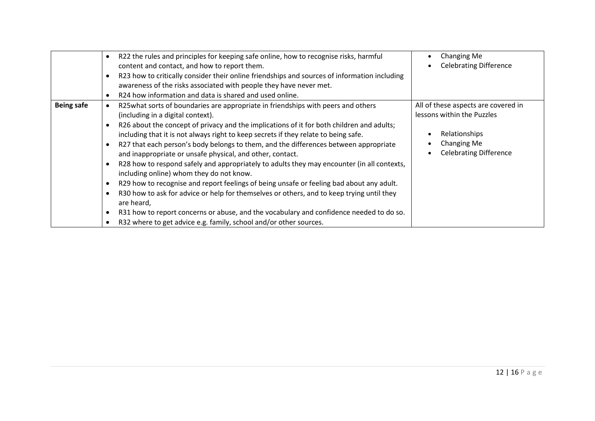|                   | $\bullet$<br>$\bullet$                                        | R22 the rules and principles for keeping safe online, how to recognise risks, harmful<br>content and contact, and how to report them.<br>R23 how to critically consider their online friendships and sources of information including<br>awareness of the risks associated with people they have never met.                                                                                                                                                                                                                                                                                                                                                                                                                                                                                                                                                                                                |                        | Changing Me<br><b>Celebrating Difference</b>                                                                                       |
|-------------------|---------------------------------------------------------------|------------------------------------------------------------------------------------------------------------------------------------------------------------------------------------------------------------------------------------------------------------------------------------------------------------------------------------------------------------------------------------------------------------------------------------------------------------------------------------------------------------------------------------------------------------------------------------------------------------------------------------------------------------------------------------------------------------------------------------------------------------------------------------------------------------------------------------------------------------------------------------------------------------|------------------------|------------------------------------------------------------------------------------------------------------------------------------|
|                   | ٠                                                             | R24 how information and data is shared and used online.                                                                                                                                                                                                                                                                                                                                                                                                                                                                                                                                                                                                                                                                                                                                                                                                                                                    |                        |                                                                                                                                    |
| <b>Being safe</b> | $\bullet$<br>$\bullet$<br>$\bullet$<br>$\bullet$<br>$\bullet$ | R25what sorts of boundaries are appropriate in friendships with peers and others<br>(including in a digital context).<br>R26 about the concept of privacy and the implications of it for both children and adults;<br>including that it is not always right to keep secrets if they relate to being safe.<br>R27 that each person's body belongs to them, and the differences between appropriate<br>and inappropriate or unsafe physical, and other, contact.<br>R28 how to respond safely and appropriately to adults they may encounter (in all contexts,<br>including online) whom they do not know.<br>R29 how to recognise and report feelings of being unsafe or feeling bad about any adult.<br>R30 how to ask for advice or help for themselves or others, and to keep trying until they<br>are heard,<br>R31 how to report concerns or abuse, and the vocabulary and confidence needed to do so. | $\bullet$<br>$\bullet$ | All of these aspects are covered in<br>lessons within the Puzzles<br>Relationships<br>Changing Me<br><b>Celebrating Difference</b> |
|                   |                                                               | R32 where to get advice e.g. family, school and/or other sources.                                                                                                                                                                                                                                                                                                                                                                                                                                                                                                                                                                                                                                                                                                                                                                                                                                          |                        |                                                                                                                                    |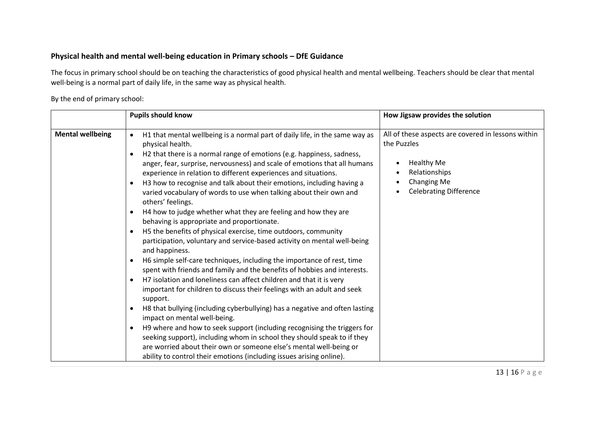## **Physical health and mental well-being education in Primary schools – DfE Guidance**

The focus in primary school should be on teaching the characteristics of good physical health and mental wellbeing. Teachers should be clear that mental well-being is a normal part of daily life, in the same way as physical health.

By the end of primary school:

|                         | <b>Pupils should know</b>                                                                                                                                                                                                                                                                                                                                                                                                                                                                                                                                                                                                                                                                                                                                                                                                                                                                                                                                                                                                                                                                                                                                                                                                                                                                                                                                                                                                                                                                                                                                                                                                         | How Jigsaw provides the solution                                                                                                                                          |
|-------------------------|-----------------------------------------------------------------------------------------------------------------------------------------------------------------------------------------------------------------------------------------------------------------------------------------------------------------------------------------------------------------------------------------------------------------------------------------------------------------------------------------------------------------------------------------------------------------------------------------------------------------------------------------------------------------------------------------------------------------------------------------------------------------------------------------------------------------------------------------------------------------------------------------------------------------------------------------------------------------------------------------------------------------------------------------------------------------------------------------------------------------------------------------------------------------------------------------------------------------------------------------------------------------------------------------------------------------------------------------------------------------------------------------------------------------------------------------------------------------------------------------------------------------------------------------------------------------------------------------------------------------------------------|---------------------------------------------------------------------------------------------------------------------------------------------------------------------------|
| <b>Mental wellbeing</b> | H1 that mental wellbeing is a normal part of daily life, in the same way as<br>$\bullet$<br>physical health.<br>H2 that there is a normal range of emotions (e.g. happiness, sadness,<br>$\bullet$<br>anger, fear, surprise, nervousness) and scale of emotions that all humans<br>experience in relation to different experiences and situations.<br>H3 how to recognise and talk about their emotions, including having a<br>$\bullet$<br>varied vocabulary of words to use when talking about their own and<br>others' feelings.<br>H4 how to judge whether what they are feeling and how they are<br>٠<br>behaving is appropriate and proportionate.<br>H5 the benefits of physical exercise, time outdoors, community<br>$\bullet$<br>participation, voluntary and service-based activity on mental well-being<br>and happiness.<br>H6 simple self-care techniques, including the importance of rest, time<br>$\bullet$<br>spent with friends and family and the benefits of hobbies and interests.<br>H7 isolation and loneliness can affect children and that it is very<br>$\bullet$<br>important for children to discuss their feelings with an adult and seek<br>support.<br>H8 that bullying (including cyberbullying) has a negative and often lasting<br>$\bullet$<br>impact on mental well-being.<br>H9 where and how to seek support (including recognising the triggers for<br>$\bullet$<br>seeking support), including whom in school they should speak to if they<br>are worried about their own or someone else's mental well-being or<br>ability to control their emotions (including issues arising online). | All of these aspects are covered in lessons within<br>the Puzzles<br><b>Healthy Me</b><br>$\bullet$<br>Relationships<br>٠<br>Changing Me<br><b>Celebrating Difference</b> |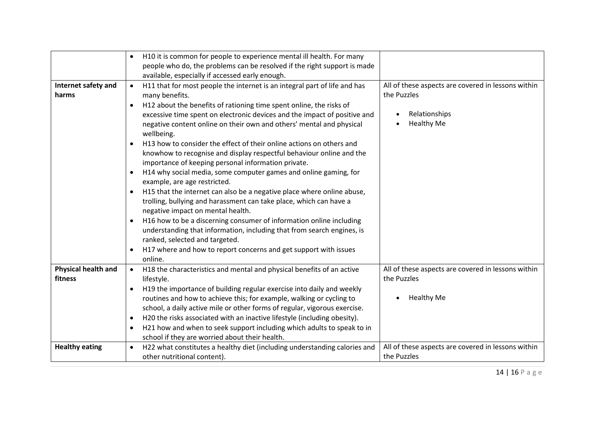|                            | H10 it is common for people to experience mental ill health. For many                  |                                                    |
|----------------------------|----------------------------------------------------------------------------------------|----------------------------------------------------|
|                            |                                                                                        |                                                    |
|                            | people who do, the problems can be resolved if the right support is made               |                                                    |
|                            | available, especially if accessed early enough.                                        |                                                    |
| Internet safety and        | H11 that for most people the internet is an integral part of life and has<br>$\bullet$ | All of these aspects are covered in lessons within |
| harms                      | many benefits.                                                                         | the Puzzles                                        |
|                            | H12 about the benefits of rationing time spent online, the risks of<br>$\bullet$       |                                                    |
|                            | excessive time spent on electronic devices and the impact of positive and              | Relationships                                      |
|                            | negative content online on their own and others' mental and physical                   | <b>Healthy Me</b>                                  |
|                            | wellbeing.                                                                             |                                                    |
|                            | H13 how to consider the effect of their online actions on others and<br>$\bullet$      |                                                    |
|                            | knowhow to recognise and display respectful behaviour online and the                   |                                                    |
|                            | importance of keeping personal information private.                                    |                                                    |
|                            | H14 why social media, some computer games and online gaming, for<br>$\bullet$          |                                                    |
|                            | example, are age restricted.                                                           |                                                    |
|                            | H15 that the internet can also be a negative place where online abuse,                 |                                                    |
|                            | trolling, bullying and harassment can take place, which can have a                     |                                                    |
|                            | negative impact on mental health.                                                      |                                                    |
|                            | H16 how to be a discerning consumer of information online including                    |                                                    |
|                            | understanding that information, including that from search engines, is                 |                                                    |
|                            | ranked, selected and targeted.                                                         |                                                    |
|                            | H17 where and how to report concerns and get support with issues                       |                                                    |
|                            | online.                                                                                |                                                    |
| <b>Physical health and</b> | H18 the characteristics and mental and physical benefits of an active<br>$\bullet$     | All of these aspects are covered in lessons within |
| fitness                    | lifestyle.                                                                             | the Puzzles                                        |
|                            | H19 the importance of building regular exercise into daily and weekly                  |                                                    |
|                            | routines and how to achieve this; for example, walking or cycling to                   | <b>Healthy Me</b>                                  |
|                            | school, a daily active mile or other forms of regular, vigorous exercise.              |                                                    |
|                            | H20 the risks associated with an inactive lifestyle (including obesity).<br>$\bullet$  |                                                    |
|                            | H21 how and when to seek support including which adults to speak to in<br>$\bullet$    |                                                    |
|                            | school if they are worried about their health.                                         |                                                    |
| <b>Healthy eating</b>      | H22 what constitutes a healthy diet (including understanding calories and<br>$\bullet$ | All of these aspects are covered in lessons within |
|                            | other nutritional content).                                                            | the Puzzles                                        |
|                            |                                                                                        |                                                    |